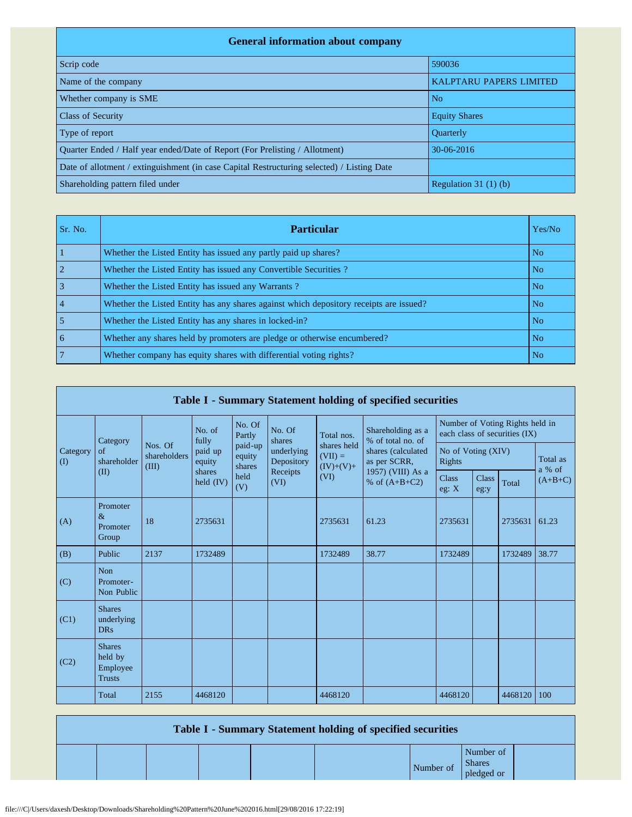| <b>General information about company</b>                                                   |                                |
|--------------------------------------------------------------------------------------------|--------------------------------|
| Scrip code                                                                                 | 590036                         |
| Name of the company                                                                        | <b>KALPTARU PAPERS LIMITED</b> |
| Whether company is SME                                                                     | N <sub>o</sub>                 |
| <b>Class of Security</b>                                                                   | <b>Equity Shares</b>           |
| Type of report                                                                             | <b>Ouarterly</b>               |
| Ouarter Ended / Half year ended/Date of Report (For Prelisting / Allotment)                | $30 - 06 - 2016$               |
| Date of allotment / extinguishment (in case Capital Restructuring selected) / Listing Date |                                |
| Shareholding pattern filed under                                                           | Regulation $31(1)(b)$          |

| Sr. No. | <b>Particular</b>                                                                      | Yes/No         |
|---------|----------------------------------------------------------------------------------------|----------------|
|         | Whether the Listed Entity has issued any partly paid up shares?                        | N <sub>o</sub> |
|         | Whether the Listed Entity has issued any Convertible Securities?                       | No.            |
|         | Whether the Listed Entity has issued any Warrants?                                     | N <sub>o</sub> |
|         | Whether the Listed Entity has any shares against which depository receipts are issued? | N <sub>o</sub> |
|         | Whether the Listed Entity has any shares in locked-in?                                 | N <sub>o</sub> |
| 6       | Whether any shares held by promoters are pledge or otherwise encumbered?               | N <sub>o</sub> |
|         | Whether company has equity shares with differential voting rights?                     | N <sub>o</sub> |

|                       | Table I - Summary Statement holding of specified securities |                                  |                       |                             |                          |                                         |                                        |                                                                  |                      |         |                    |  |  |  |
|-----------------------|-------------------------------------------------------------|----------------------------------|-----------------------|-----------------------------|--------------------------|-----------------------------------------|----------------------------------------|------------------------------------------------------------------|----------------------|---------|--------------------|--|--|--|
|                       | Category                                                    |                                  | No. of<br>fully       | No. Of<br>Partly            | No. Of<br>shares         | Total nos.                              | Shareholding as a<br>% of total no. of | Number of Voting Rights held in<br>each class of securities (IX) |                      |         |                    |  |  |  |
| Category<br>$\rm (I)$ | of<br>shareholder                                           | Nos. Of<br>shareholders<br>(III) | paid up<br>equity     | paid-up<br>equity<br>shares | underlying<br>Depository | shares held<br>$(VII) =$<br>$(IV)+(V)+$ | shares (calculated<br>as per SCRR,     | No of Voting (XIV)<br><b>Rights</b>                              |                      |         | Total as<br>a % of |  |  |  |
|                       | (II)                                                        |                                  | shares<br>held $(IV)$ | held<br>(V)                 | Receipts<br>(VI)<br>(VI) |                                         | 1957) (VIII) As a<br>% of $(A+B+C2)$   | <b>Class</b><br>eg: $X$                                          | <b>Class</b><br>eg:y | Total   | $(A+B+C)$          |  |  |  |
| (A)                   | Promoter<br>$\&$<br>Promoter<br>Group                       | 18                               | 2735631               |                             |                          | 2735631                                 | 61.23                                  | 2735631                                                          |                      | 2735631 | 61.23              |  |  |  |
| (B)                   | Public                                                      | 2137                             | 1732489               |                             |                          | 1732489                                 | 38.77                                  | 1732489                                                          |                      | 1732489 | 38.77              |  |  |  |
| (C)                   | Non<br>Promoter-<br>Non Public                              |                                  |                       |                             |                          |                                         |                                        |                                                                  |                      |         |                    |  |  |  |
| (C1)                  | <b>Shares</b><br>underlying<br><b>DRs</b>                   |                                  |                       |                             |                          |                                         |                                        |                                                                  |                      |         |                    |  |  |  |
| (C2)                  | <b>Shares</b><br>held by<br>Employee<br><b>Trusts</b>       |                                  |                       |                             |                          |                                         |                                        |                                                                  |                      |         |                    |  |  |  |
|                       | Total                                                       | 2155                             | 4468120               |                             |                          | 4468120                                 |                                        | 4468120                                                          |                      | 4468120 | 100                |  |  |  |

|  |  | Table I - Summary Statement holding of specified securities |           |                                          |  |
|--|--|-------------------------------------------------------------|-----------|------------------------------------------|--|
|  |  |                                                             | Number of | Number of<br><b>Shares</b><br>pledged or |  |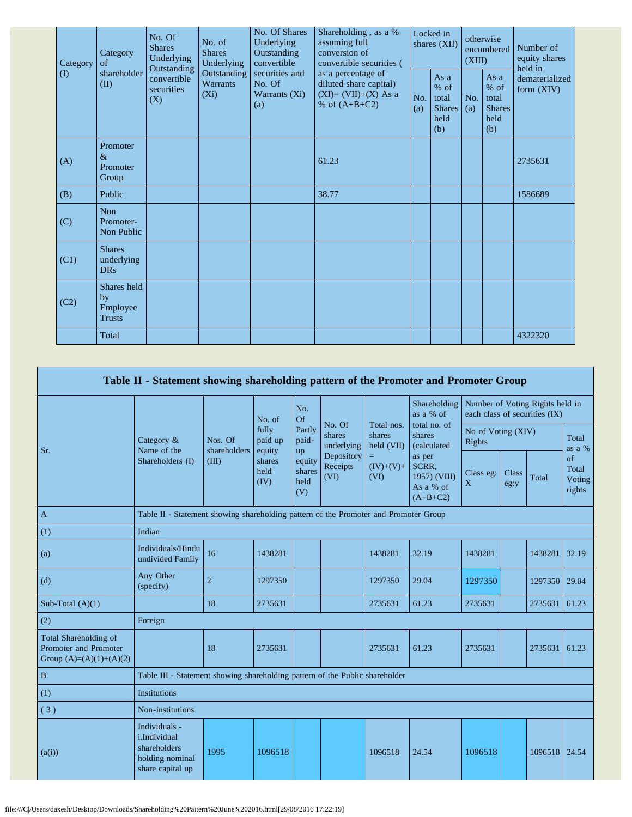| Category | Category<br>of                                 | No. Of<br><b>Shares</b><br>Underlying<br>Outstanding | No. of<br><b>Shares</b><br>Underlying     | No. Of Shares<br>Underlying<br>Outstanding<br>convertible | Shareholding, as a %<br>assuming full<br>conversion of<br>convertible securities (<br>as a percentage of | Locked in<br>shares (XII) |                                                       | otherwise<br>encumbered<br>(XIII) |                                                       | Number of<br>equity shares<br>held in |  |
|----------|------------------------------------------------|------------------------------------------------------|-------------------------------------------|-----------------------------------------------------------|----------------------------------------------------------------------------------------------------------|---------------------------|-------------------------------------------------------|-----------------------------------|-------------------------------------------------------|---------------------------------------|--|
| (I)      | shareholder<br>(II)                            | convertible<br>securities<br>(X)                     | Outstanding<br><b>Warrants</b><br>$(X_i)$ | securities and<br>No. Of<br>Warrants (Xi)<br>(a)          | diluted share capital)<br>$(XI)=(VII)+(X) As a$<br>% of $(A+B+C2)$                                       | No.<br>(a)                | As a<br>% of<br>total<br><b>Shares</b><br>held<br>(b) | No.<br>(a)                        | As a<br>% of<br>total<br><b>Shares</b><br>held<br>(b) | dematerialized<br>form $(XIV)$        |  |
| (A)      | Promoter<br>$\&$<br>Promoter<br>Group          |                                                      |                                           |                                                           | 61.23                                                                                                    |                           |                                                       |                                   |                                                       | 2735631                               |  |
| (B)      | Public                                         |                                                      |                                           |                                                           | 38.77                                                                                                    |                           |                                                       |                                   |                                                       | 1586689                               |  |
| (C)      | <b>Non</b><br>Promoter-<br>Non Public          |                                                      |                                           |                                                           |                                                                                                          |                           |                                                       |                                   |                                                       |                                       |  |
| (C1)     | <b>Shares</b><br>underlying<br><b>DRs</b>      |                                                      |                                           |                                                           |                                                                                                          |                           |                                                       |                                   |                                                       |                                       |  |
| (C2)     | Shares held<br>by<br>Employee<br><b>Trusts</b> |                                                      |                                           |                                                           |                                                                                                          |                           |                                                       |                                   |                                                       |                                       |  |
|          | Total                                          |                                                      |                                           |                                                           |                                                                                                          |                           |                                                       |                                   |                                                       | 4322320                               |  |

|                                                                             | Table II - Statement showing shareholding pattern of the Promoter and Promoter Group |                                                                                      |                                                                                                                                                                                                                                                                                                                                                               |               |        |                                 |                           |                    |                                                                  |               |                 |  |
|-----------------------------------------------------------------------------|--------------------------------------------------------------------------------------|--------------------------------------------------------------------------------------|---------------------------------------------------------------------------------------------------------------------------------------------------------------------------------------------------------------------------------------------------------------------------------------------------------------------------------------------------------------|---------------|--------|---------------------------------|---------------------------|--------------------|------------------------------------------------------------------|---------------|-----------------|--|
|                                                                             |                                                                                      |                                                                                      | No. of                                                                                                                                                                                                                                                                                                                                                        | No.<br>Of     |        |                                 | Shareholding<br>as a % of |                    | Number of Voting Rights held in<br>each class of securities (IX) |               |                 |  |
| Sr.                                                                         | Category &<br>Name of the                                                            | Nos. Of<br>shareholders                                                              | Partly<br>fully<br>shares<br>shares<br>shares<br>paid up<br>paid-<br>Rights<br>held (VII)<br>underlying<br>(calculated<br>equity<br>up<br>Depository<br>as per<br>$=$<br>shares<br>equity<br>$(IV)+(V)+$<br>Receipts<br>SCRR,<br>held<br>shares<br>Class eg:<br>1957) (VIII)<br>(VI)<br>(VI)<br>held<br>(IV)<br>$\mathbf X$<br>As a % of<br>(V)<br>$(A+B+C2)$ |               | No. Of | Total nos.                      | total no. of              | No of Voting (XIV) |                                                                  |               | Total<br>as a % |  |
|                                                                             | Shareholders (I)                                                                     | (III)                                                                                |                                                                                                                                                                                                                                                                                                                                                               | Class<br>eg:y | Total  | of<br>Total<br>Voting<br>rights |                           |                    |                                                                  |               |                 |  |
| $\mathbf{A}$                                                                |                                                                                      | Table II - Statement showing shareholding pattern of the Promoter and Promoter Group |                                                                                                                                                                                                                                                                                                                                                               |               |        |                                 |                           |                    |                                                                  |               |                 |  |
| (1)                                                                         | Indian                                                                               |                                                                                      |                                                                                                                                                                                                                                                                                                                                                               |               |        |                                 |                           |                    |                                                                  |               |                 |  |
| (a)                                                                         | Individuals/Hindu<br>undivided Family                                                | 16                                                                                   | 1438281                                                                                                                                                                                                                                                                                                                                                       |               |        | 1438281                         | 32.19                     | 1438281            |                                                                  | 1438281       | 32.19           |  |
| (d)                                                                         | Any Other<br>(specify)                                                               | $\overline{c}$                                                                       | 1297350                                                                                                                                                                                                                                                                                                                                                       |               |        | 1297350                         | 29.04                     | 1297350            |                                                                  | 1297350       | 29.04           |  |
| Sub-Total $(A)(1)$                                                          |                                                                                      | 18                                                                                   | 2735631                                                                                                                                                                                                                                                                                                                                                       |               |        | 2735631                         | 61.23                     | 2735631            |                                                                  | 2735631       | 61.23           |  |
| (2)                                                                         | Foreign                                                                              |                                                                                      |                                                                                                                                                                                                                                                                                                                                                               |               |        |                                 |                           |                    |                                                                  |               |                 |  |
| Total Shareholding of<br>Promoter and Promoter<br>Group $(A)=(A)(1)+(A)(2)$ |                                                                                      | 18                                                                                   | 2735631                                                                                                                                                                                                                                                                                                                                                       |               |        | 2735631                         | 61.23                     | 2735631            |                                                                  | 2735631       | 61.23           |  |
| $\, {\bf B}$                                                                | Table III - Statement showing shareholding pattern of the Public shareholder         |                                                                                      |                                                                                                                                                                                                                                                                                                                                                               |               |        |                                 |                           |                    |                                                                  |               |                 |  |
| (1)                                                                         | <b>Institutions</b>                                                                  |                                                                                      |                                                                                                                                                                                                                                                                                                                                                               |               |        |                                 |                           |                    |                                                                  |               |                 |  |
| (3)                                                                         | Non-institutions                                                                     |                                                                                      |                                                                                                                                                                                                                                                                                                                                                               |               |        |                                 |                           |                    |                                                                  |               |                 |  |
| (a(i))                                                                      | Individuals -<br>i.Individual<br>shareholders<br>holding nominal<br>share capital up | 1995                                                                                 | 1096518                                                                                                                                                                                                                                                                                                                                                       |               |        | 1096518                         | 24.54                     | 1096518            |                                                                  | 1096518 24.54 |                 |  |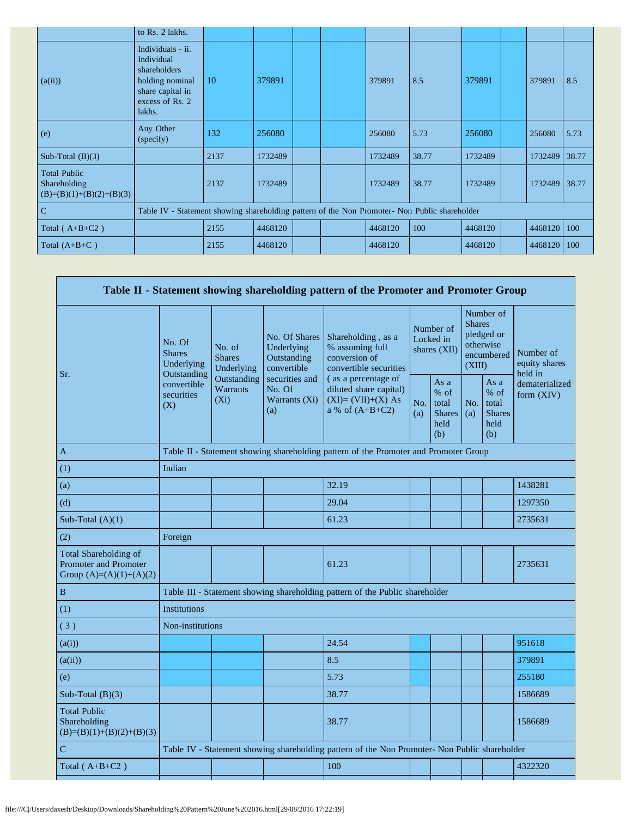|                                                                   | to Rs. 2 lakhs.                                                                                                     |      |         |  |         |       |         |         |            |
|-------------------------------------------------------------------|---------------------------------------------------------------------------------------------------------------------|------|---------|--|---------|-------|---------|---------|------------|
| (a(ii))                                                           | Individuals - ii.<br>Individual<br>shareholders<br>holding nominal<br>share capital in<br>excess of Rs. 2<br>lakhs. | 10   | 379891  |  | 379891  | 8.5   | 379891  | 379891  | 8.5        |
| (e)                                                               | Any Other<br>(specify)                                                                                              | 132  | 256080  |  | 256080  | 5.73  | 256080  | 256080  | 5.73       |
| Sub-Total $(B)(3)$                                                |                                                                                                                     | 2137 | 1732489 |  | 1732489 | 38.77 | 1732489 | 1732489 | 38.77      |
| <b>Total Public</b><br>Shareholding<br>$(B)=(B)(1)+(B)(2)+(B)(3)$ |                                                                                                                     | 2137 | 1732489 |  | 1732489 | 38.77 | 1732489 | 1732489 | 38.77      |
| $\overline{C}$                                                    | Table IV - Statement showing shareholding pattern of the Non Promoter- Non Public shareholder                       |      |         |  |         |       |         |         |            |
| Total $(A+B+C2)$                                                  |                                                                                                                     | 2155 | 4468120 |  | 4468120 | 100   | 4468120 | 4468120 | $\mid$ 100 |
| Total $(A+B+C)$                                                   |                                                                                                                     | 2155 | 4468120 |  | 4468120 |       | 4468120 | 4468120 | 100        |

|                                                                             |                                                      |                                           |                                                           | Table II - Statement showing shareholding pattern of the Promoter and Promoter Group          |                                        |                                                         |                                                                               |                                                         |                                       |
|-----------------------------------------------------------------------------|------------------------------------------------------|-------------------------------------------|-----------------------------------------------------------|-----------------------------------------------------------------------------------------------|----------------------------------------|---------------------------------------------------------|-------------------------------------------------------------------------------|---------------------------------------------------------|---------------------------------------|
|                                                                             | No. Of<br><b>Shares</b><br>Underlying<br>Outstanding | No. of<br><b>Shares</b><br>Underlying     | No. Of Shares<br>Underlying<br>Outstanding<br>convertible | Shareholding, as a<br>% assuming full<br>conversion of<br>convertible securities              | Number of<br>Locked in<br>shares (XII) |                                                         | Number of<br><b>Shares</b><br>pledged or<br>otherwise<br>encumbered<br>(XIII) |                                                         | Number of<br>equity shares<br>held in |
| Sr.                                                                         | convertible<br>securities<br>(X)                     | Outstanding<br><b>Warrants</b><br>$(X_i)$ | securities and<br>No. Of<br>Warrants (Xi)<br>(a)          | (as a percentage of<br>diluted share capital)<br>$(XI)=(VII)+(X) As$<br>a % of $(A+B+C2)$     | No.<br>(a)                             | As a<br>$%$ of<br>total<br><b>Shares</b><br>held<br>(b) | No.<br>(a)                                                                    | As a<br>$%$ of<br>total<br><b>Shares</b><br>held<br>(b) | dematerialized<br>form $(XIV)$        |
| A                                                                           |                                                      |                                           |                                                           | Table II - Statement showing shareholding pattern of the Promoter and Promoter Group          |                                        |                                                         |                                                                               |                                                         |                                       |
| (1)                                                                         | Indian                                               |                                           |                                                           |                                                                                               |                                        |                                                         |                                                                               |                                                         |                                       |
| (a)                                                                         |                                                      |                                           |                                                           | 32.19                                                                                         |                                        |                                                         |                                                                               |                                                         | 1438281                               |
| (d)                                                                         |                                                      |                                           |                                                           | 29.04                                                                                         |                                        |                                                         |                                                                               |                                                         | 1297350                               |
| Sub-Total $(A)(1)$                                                          |                                                      |                                           |                                                           | 61.23                                                                                         |                                        |                                                         |                                                                               |                                                         | 2735631                               |
| (2)                                                                         | Foreign                                              |                                           |                                                           |                                                                                               |                                        |                                                         |                                                                               |                                                         |                                       |
| Total Shareholding of<br>Promoter and Promoter<br>Group $(A)=(A)(1)+(A)(2)$ |                                                      |                                           |                                                           | 61.23                                                                                         |                                        |                                                         |                                                                               |                                                         | 2735631                               |
| $\, {\bf B}$                                                                |                                                      |                                           |                                                           | Table III - Statement showing shareholding pattern of the Public shareholder                  |                                        |                                                         |                                                                               |                                                         |                                       |
| (1)                                                                         | <b>Institutions</b>                                  |                                           |                                                           |                                                                                               |                                        |                                                         |                                                                               |                                                         |                                       |
| (3)                                                                         | Non-institutions                                     |                                           |                                                           |                                                                                               |                                        |                                                         |                                                                               |                                                         |                                       |
| (a(i))                                                                      |                                                      |                                           |                                                           | 24.54                                                                                         |                                        |                                                         |                                                                               |                                                         | 951618                                |
| (a(ii))                                                                     |                                                      |                                           |                                                           | 8.5                                                                                           |                                        |                                                         |                                                                               |                                                         | 379891                                |
| (e)                                                                         |                                                      |                                           |                                                           | 5.73                                                                                          |                                        |                                                         |                                                                               |                                                         | 255180                                |
| Sub-Total $(B)(3)$                                                          |                                                      |                                           |                                                           | 38.77                                                                                         |                                        |                                                         |                                                                               |                                                         | 1586689                               |
| <b>Total Public</b><br>Shareholding<br>$(B)=(B)(1)+(B)(2)+(B)(3)$           |                                                      |                                           |                                                           | 38.77                                                                                         |                                        |                                                         |                                                                               |                                                         | 1586689                               |
| $\mathbf C$                                                                 |                                                      |                                           |                                                           | Table IV - Statement showing shareholding pattern of the Non Promoter- Non Public shareholder |                                        |                                                         |                                                                               |                                                         |                                       |
| Total $(A+B+C2)$                                                            |                                                      |                                           |                                                           | 100                                                                                           |                                        |                                                         |                                                                               |                                                         | 4322320                               |
|                                                                             |                                                      |                                           |                                                           |                                                                                               |                                        |                                                         |                                                                               |                                                         |                                       |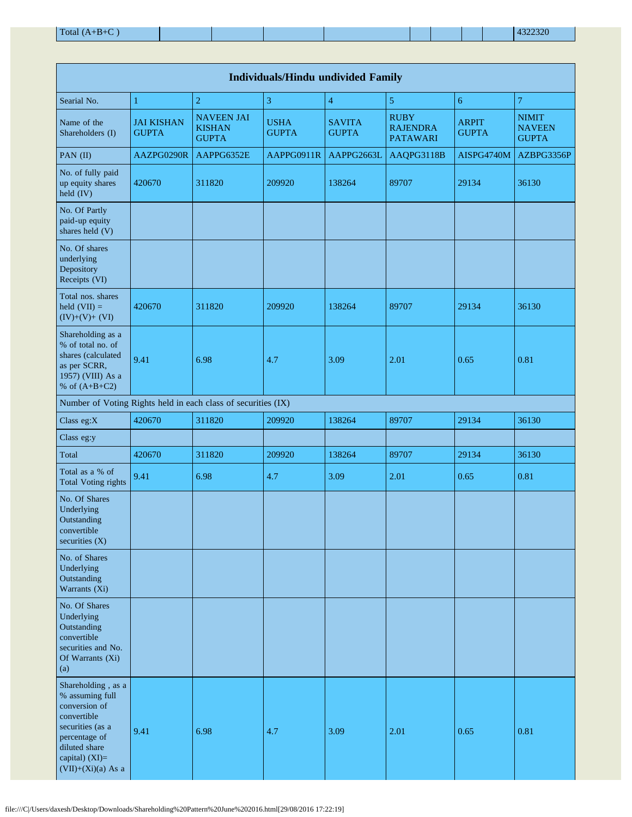| <b>Individuals/Hindu undivided Family</b>                                                                                                                             |                                   |                                                    |                             |                               |                                                   |                              |                                               |  |  |  |  |  |
|-----------------------------------------------------------------------------------------------------------------------------------------------------------------------|-----------------------------------|----------------------------------------------------|-----------------------------|-------------------------------|---------------------------------------------------|------------------------------|-----------------------------------------------|--|--|--|--|--|
| Searial No.                                                                                                                                                           | $\mathbf{1}$                      | $\overline{c}$                                     | 3                           | $\overline{4}$                | $\sqrt{5}$                                        | 6                            | $\overline{7}$                                |  |  |  |  |  |
| Name of the<br>Shareholders (I)                                                                                                                                       | <b>JAI KISHAN</b><br><b>GUPTA</b> | <b>NAVEEN JAI</b><br><b>KISHAN</b><br><b>GUPTA</b> | <b>USHA</b><br><b>GUPTA</b> | <b>SAVITA</b><br><b>GUPTA</b> | <b>RUBY</b><br><b>RAJENDRA</b><br><b>PATAWARI</b> | <b>ARPIT</b><br><b>GUPTA</b> | <b>NIMIT</b><br><b>NAVEEN</b><br><b>GUPTA</b> |  |  |  |  |  |
| PAN (II)                                                                                                                                                              | AAZPG0290R                        | AAPPG6352E                                         | AAPPG0911R                  | AAPPG2663L                    | AAQPG3118B                                        | AISPG4740M                   | AZBPG3356P                                    |  |  |  |  |  |
| No. of fully paid<br>up equity shares<br>held (IV)                                                                                                                    | 420670                            | 311820                                             | 209920                      | 138264                        | 89707                                             | 29134                        | 36130                                         |  |  |  |  |  |
| No. Of Partly<br>paid-up equity<br>shares held (V)                                                                                                                    |                                   |                                                    |                             |                               |                                                   |                              |                                               |  |  |  |  |  |
| No. Of shares<br>underlying<br>Depository<br>Receipts (VI)                                                                                                            |                                   |                                                    |                             |                               |                                                   |                              |                                               |  |  |  |  |  |
| Total nos. shares<br>held $(VII) =$<br>$(IV)+(V)+(VI)$                                                                                                                | 420670                            | 311820                                             | 209920                      | 138264                        | 89707                                             | 29134                        | 36130                                         |  |  |  |  |  |
| Shareholding as a<br>% of total no. of<br>shares (calculated<br>as per SCRR,<br>1957) (VIII) As a<br>% of $(A+B+C2)$                                                  | 9.41                              | 6.98                                               | 4.7                         | 3.09                          | 2.01                                              | 0.65                         | 0.81                                          |  |  |  |  |  |
| Number of Voting Rights held in each class of securities (IX)                                                                                                         |                                   |                                                    |                             |                               |                                                   |                              |                                               |  |  |  |  |  |
| Class eg:X                                                                                                                                                            | 420670                            | 311820                                             | 209920                      | 138264                        | 89707                                             | 29134                        | 36130                                         |  |  |  |  |  |
| Class eg:y                                                                                                                                                            |                                   |                                                    |                             |                               |                                                   |                              |                                               |  |  |  |  |  |
| Total                                                                                                                                                                 | 420670                            | 311820                                             | 209920                      | 138264                        | 89707                                             | 29134                        | 36130                                         |  |  |  |  |  |
| Total as a % of<br><b>Total Voting rights</b>                                                                                                                         | 9.41                              | 6.98                                               | 4.7                         | 3.09                          | 2.01                                              | 0.65                         | 0.81                                          |  |  |  |  |  |
| No. Of Shares<br>Underlying<br>Outstanding<br>convertible<br>securities $(X)$                                                                                         |                                   |                                                    |                             |                               |                                                   |                              |                                               |  |  |  |  |  |
| No. of Shares<br>Underlying<br>Outstanding<br>Warrants (Xi)                                                                                                           |                                   |                                                    |                             |                               |                                                   |                              |                                               |  |  |  |  |  |
| No. Of Shares<br>Underlying<br>Outstanding<br>convertible<br>securities and No.<br>Of Warrants (Xi)<br>(a)                                                            |                                   |                                                    |                             |                               |                                                   |                              |                                               |  |  |  |  |  |
| Shareholding, as a<br>% assuming full<br>conversion of<br>convertible<br>securities (as a<br>percentage of<br>diluted share<br>capital) (XI)=<br>$(VII)+(Xi)(a)$ As a | 9.41                              | 6.98                                               | 4.7                         | 3.09                          | 2.01                                              | 0.65                         | 0.81                                          |  |  |  |  |  |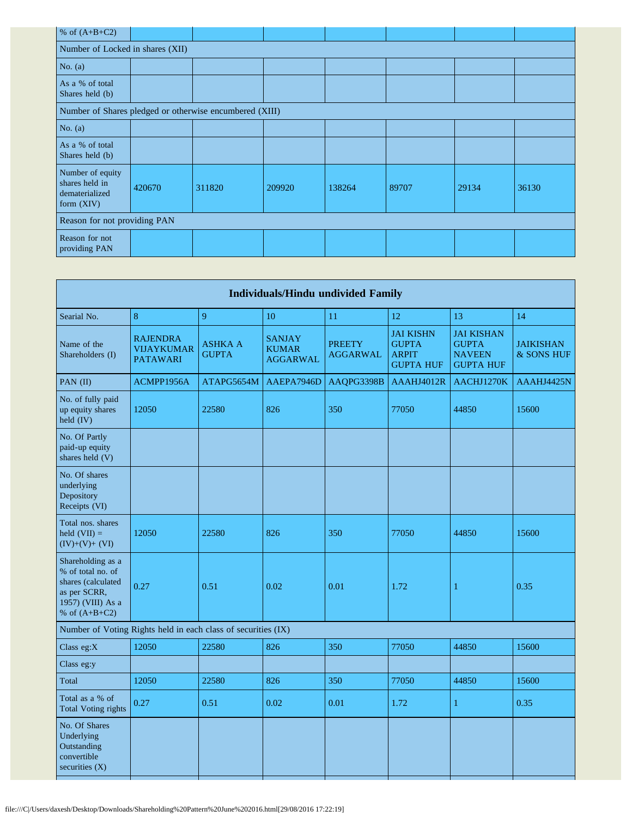| % of $(A+B+C2)$                                                      |        |        |        |        |       |       |       |  |  |  |  |
|----------------------------------------------------------------------|--------|--------|--------|--------|-------|-------|-------|--|--|--|--|
| Number of Locked in shares (XII)                                     |        |        |        |        |       |       |       |  |  |  |  |
| No. $(a)$                                                            |        |        |        |        |       |       |       |  |  |  |  |
| As a % of total<br>Shares held (b)                                   |        |        |        |        |       |       |       |  |  |  |  |
| Number of Shares pledged or otherwise encumbered (XIII)              |        |        |        |        |       |       |       |  |  |  |  |
| No. $(a)$                                                            |        |        |        |        |       |       |       |  |  |  |  |
| As a % of total<br>Shares held (b)                                   |        |        |        |        |       |       |       |  |  |  |  |
| Number of equity<br>shares held in<br>dematerialized<br>form $(XIV)$ | 420670 | 311820 | 209920 | 138264 | 89707 | 29134 | 36130 |  |  |  |  |
| Reason for not providing PAN                                         |        |        |        |        |       |       |       |  |  |  |  |
| Reason for not<br>providing PAN                                      |        |        |        |        |       |       |       |  |  |  |  |

| 8                                                       | $\overline{Q}$                 | 10                                               | 11                                                            | 12                                                                   | 13                                                                     | 14                             |
|---------------------------------------------------------|--------------------------------|--------------------------------------------------|---------------------------------------------------------------|----------------------------------------------------------------------|------------------------------------------------------------------------|--------------------------------|
| <b>RAJENDRA</b><br><b>VIJAYKUMAR</b><br><b>PATAWARI</b> | <b>ASHKA A</b><br><b>GUPTA</b> | <b>SANJAY</b><br><b>KUMAR</b><br><b>AGGARWAL</b> | <b>PREETY</b><br><b>AGGARWAL</b>                              | <b>JAI KISHN</b><br><b>GUPTA</b><br><b>ARPIT</b><br><b>GUPTA HUF</b> | <b>JAI KISHAN</b><br><b>GUPTA</b><br><b>NAVEEN</b><br><b>GUPTA HUF</b> | <b>JAIKISHAN</b><br>& SONS HUF |
| ACMPP1956A                                              | ATAPG5654M                     | AAEPA7946D                                       | AAQPG3398B                                                    | AAAHJ4012R                                                           | AACHJ1270K                                                             | AAAHJ4425N                     |
| 12050                                                   | 22580                          | 826                                              | 350                                                           | 77050                                                                | 44850                                                                  | 15600                          |
|                                                         |                                |                                                  |                                                               |                                                                      |                                                                        |                                |
|                                                         |                                |                                                  |                                                               |                                                                      |                                                                        |                                |
| 12050                                                   | 22580                          | 826                                              | 350                                                           | 77050                                                                | 44850                                                                  | 15600                          |
| 0.27                                                    | 0.51                           | 0.02                                             | 0.01                                                          | 1.72                                                                 | 1                                                                      | 0.35                           |
|                                                         |                                |                                                  |                                                               |                                                                      |                                                                        |                                |
| 12050                                                   | 22580                          | 826                                              | 350                                                           | 77050                                                                | 44850                                                                  | 15600                          |
|                                                         |                                |                                                  |                                                               |                                                                      |                                                                        |                                |
| 12050                                                   | 22580                          | 826                                              | 350                                                           | 77050                                                                | 44850                                                                  | 15600                          |
| 0.27                                                    | 0.51                           | 0.02                                             | 0.01                                                          | 1.72                                                                 | 1                                                                      | 0.35                           |
|                                                         |                                |                                                  |                                                               |                                                                      |                                                                        |                                |
|                                                         |                                |                                                  | Number of Voting Rights held in each class of securities (IX) |                                                                      | <b>Individuals/Hindu undivided Family</b>                              |                                |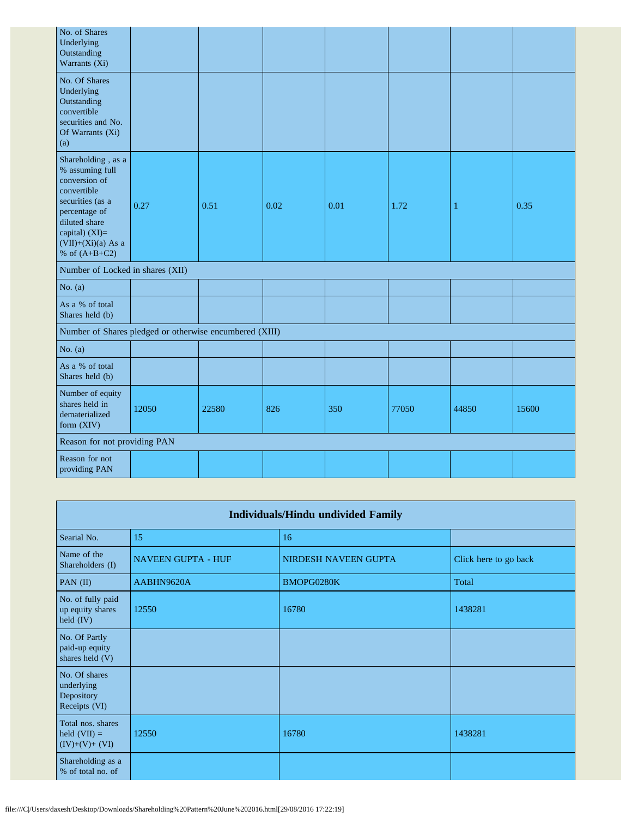| No. of Shares<br>Underlying<br>Outstanding<br>Warrants (Xi)                                                                                                                              |       |       |      |      |       |       |       |
|------------------------------------------------------------------------------------------------------------------------------------------------------------------------------------------|-------|-------|------|------|-------|-------|-------|
| No. Of Shares<br>Underlying<br>Outstanding<br>convertible<br>securities and No.<br>Of Warrants (Xi)<br>(a)                                                                               |       |       |      |      |       |       |       |
| Shareholding, as a<br>% assuming full<br>conversion of<br>convertible<br>securities (as a<br>percentage of<br>diluted share<br>capital) (XI)=<br>$(VII)+(Xi)(a)$ As a<br>% of $(A+B+C2)$ | 0.27  | 0.51  | 0.02 | 0.01 | 1.72  | 1     | 0.35  |
| Number of Locked in shares (XII)                                                                                                                                                         |       |       |      |      |       |       |       |
| No. $(a)$                                                                                                                                                                                |       |       |      |      |       |       |       |
| As a % of total<br>Shares held (b)                                                                                                                                                       |       |       |      |      |       |       |       |
| Number of Shares pledged or otherwise encumbered (XIII)                                                                                                                                  |       |       |      |      |       |       |       |
| No. $(a)$                                                                                                                                                                                |       |       |      |      |       |       |       |
| As a % of total<br>Shares held (b)                                                                                                                                                       |       |       |      |      |       |       |       |
| Number of equity<br>shares held in<br>dematerialized<br>form (XIV)                                                                                                                       | 12050 | 22580 | 826  | 350  | 77050 | 44850 | 15600 |
| Reason for not providing PAN                                                                                                                                                             |       |       |      |      |       |       |       |
| Reason for not<br>providing PAN                                                                                                                                                          |       |       |      |      |       |       |       |

| <b>Individuals/Hindu undivided Family</b>                  |                           |                      |                       |  |  |
|------------------------------------------------------------|---------------------------|----------------------|-----------------------|--|--|
| Searial No.                                                | 15                        | 16                   |                       |  |  |
| Name of the<br>Shareholders (I)                            | <b>NAVEEN GUPTA - HUF</b> | NIRDESH NAVEEN GUPTA | Click here to go back |  |  |
| PAN $(II)$                                                 | AABHN9620A                | BMOPG0280K           | Total                 |  |  |
| No. of fully paid<br>up equity shares<br>held $(IV)$       | 12550                     | 16780                | 1438281               |  |  |
| No. Of Partly<br>paid-up equity<br>shares held (V)         |                           |                      |                       |  |  |
| No. Of shares<br>underlying<br>Depository<br>Receipts (VI) |                           |                      |                       |  |  |
| Total nos. shares<br>held $(VII) =$<br>$(IV)+(V)+(VI)$     | 12550                     | 16780                | 1438281               |  |  |
| Shareholding as a<br>% of total no. of                     |                           |                      |                       |  |  |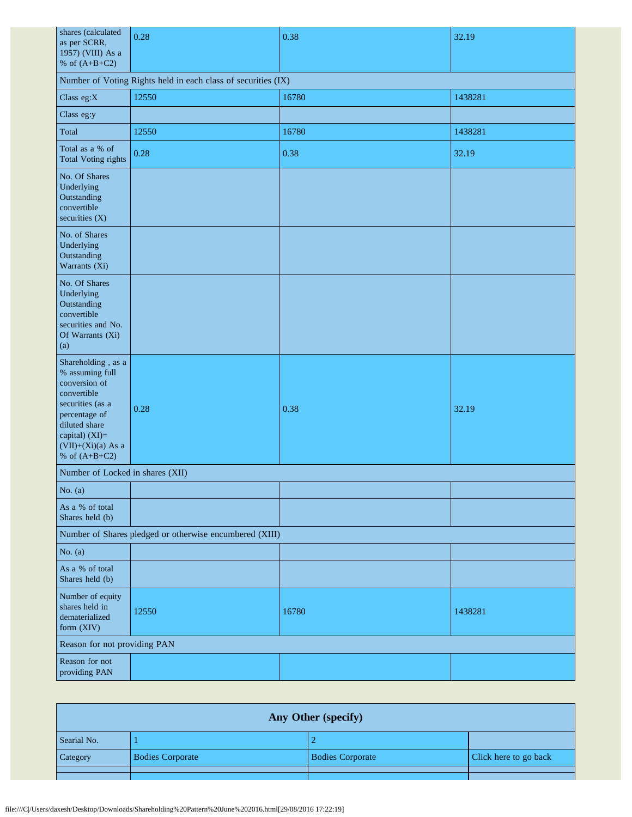| shares (calculated<br>as per SCRR,<br>1957) (VIII) As a                                                                                                                                  | 0.28  | 0.38  | 32.19   |  |  |  |
|------------------------------------------------------------------------------------------------------------------------------------------------------------------------------------------|-------|-------|---------|--|--|--|
| % of $(A+B+C2)$<br>Number of Voting Rights held in each class of securities (IX)                                                                                                         |       |       |         |  |  |  |
| Class eg:X                                                                                                                                                                               | 12550 | 16780 | 1438281 |  |  |  |
| Class eg:y                                                                                                                                                                               |       |       |         |  |  |  |
| Total                                                                                                                                                                                    | 12550 | 16780 | 1438281 |  |  |  |
| Total as a % of<br><b>Total Voting rights</b>                                                                                                                                            | 0.28  | 0.38  | 32.19   |  |  |  |
| No. Of Shares<br>Underlying<br>Outstanding<br>convertible<br>securities (X)                                                                                                              |       |       |         |  |  |  |
| No. of Shares<br>Underlying<br>Outstanding<br>Warrants (Xi)                                                                                                                              |       |       |         |  |  |  |
| No. Of Shares<br>Underlying<br>Outstanding<br>convertible<br>securities and No.<br>Of Warrants (Xi)<br>(a)                                                                               |       |       |         |  |  |  |
| Shareholding, as a<br>% assuming full<br>conversion of<br>convertible<br>securities (as a<br>percentage of<br>diluted share<br>capital) (XI)=<br>$(VII)+(Xi)(a)$ As a<br>% of $(A+B+C2)$ | 0.28  | 0.38  | 32.19   |  |  |  |
| Number of Locked in shares (XII)                                                                                                                                                         |       |       |         |  |  |  |
| No. (a)                                                                                                                                                                                  |       |       |         |  |  |  |
| As a % of total<br>Shares held (b)                                                                                                                                                       |       |       |         |  |  |  |
| Number of Shares pledged or otherwise encumbered (XIII)                                                                                                                                  |       |       |         |  |  |  |
| No. $(a)$                                                                                                                                                                                |       |       |         |  |  |  |
| As a % of total<br>Shares held (b)                                                                                                                                                       |       |       |         |  |  |  |
| Number of equity<br>shares held in<br>dematerialized<br>form (XIV)                                                                                                                       | 12550 | 16780 | 1438281 |  |  |  |
| Reason for not providing PAN                                                                                                                                                             |       |       |         |  |  |  |
| Reason for not<br>providing PAN                                                                                                                                                          |       |       |         |  |  |  |

| Any Other (specify) |                         |                         |                       |  |  |  |
|---------------------|-------------------------|-------------------------|-----------------------|--|--|--|
| Searial No.         |                         |                         |                       |  |  |  |
| Category            | <b>Bodies Corporate</b> | <b>Bodies Corporate</b> | Click here to go back |  |  |  |
|                     |                         |                         |                       |  |  |  |
|                     |                         |                         |                       |  |  |  |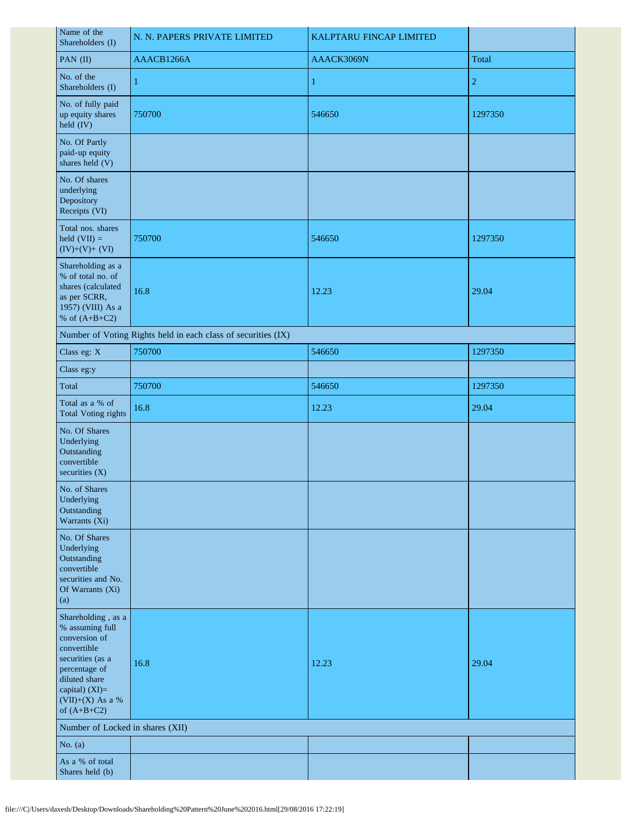| Name of the<br>Shareholders (I)                                                                                                                                                    | N. N. PAPERS PRIVATE LIMITED                                  | KALPTARU FINCAP LIMITED |                |  |  |
|------------------------------------------------------------------------------------------------------------------------------------------------------------------------------------|---------------------------------------------------------------|-------------------------|----------------|--|--|
| PAN (II)                                                                                                                                                                           | AAACB1266A                                                    | AAACK3069N              | Total          |  |  |
| No. of the<br>Shareholders (I)                                                                                                                                                     | 1                                                             | 1                       | $\overline{2}$ |  |  |
| No. of fully paid<br>up equity shares<br>held (IV)                                                                                                                                 | 750700                                                        | 546650                  | 1297350        |  |  |
| No. Of Partly<br>paid-up equity<br>shares held (V)                                                                                                                                 |                                                               |                         |                |  |  |
| No. Of shares<br>underlying<br>Depository<br>Receipts (VI)                                                                                                                         |                                                               |                         |                |  |  |
| Total nos. shares<br>held $(VII) =$<br>$(IV)+(V)+(VI)$                                                                                                                             | 750700                                                        | 546650                  | 1297350        |  |  |
| Shareholding as a<br>% of total no. of<br>shares (calculated<br>as per SCRR,<br>1957) (VIII) As a<br>% of $(A+B+C2)$                                                               | 16.8                                                          | 12.23                   | 29.04          |  |  |
|                                                                                                                                                                                    | Number of Voting Rights held in each class of securities (IX) |                         |                |  |  |
| Class eg: X                                                                                                                                                                        | 750700                                                        | 546650                  | 1297350        |  |  |
| Class eg:y                                                                                                                                                                         |                                                               |                         |                |  |  |
| Total                                                                                                                                                                              | 750700                                                        | 546650                  | 1297350        |  |  |
| Total as a % of<br><b>Total Voting rights</b>                                                                                                                                      | 16.8                                                          | 12.23                   | 29.04          |  |  |
| No. Of Shares<br>Underlying<br>Outstanding<br>convertible<br>securities $(X)$                                                                                                      |                                                               |                         |                |  |  |
| No. of Shares<br>Underlying<br>Outstanding<br>Warrants (Xi)                                                                                                                        |                                                               |                         |                |  |  |
| No. Of Shares<br>Underlying<br>Outstanding<br>convertible<br>securities and No.<br>Of Warrants (Xi)<br>(a)                                                                         |                                                               |                         |                |  |  |
| Shareholding, as a<br>% assuming full<br>conversion of<br>convertible<br>securities (as a<br>percentage of<br>diluted share<br>capital) (XI)=<br>(VII)+(X) As a %<br>of $(A+B+C2)$ | 16.8                                                          | 12.23                   | 29.04          |  |  |
| Number of Locked in shares (XII)                                                                                                                                                   |                                                               |                         |                |  |  |
| No. $(a)$                                                                                                                                                                          |                                                               |                         |                |  |  |
| As a % of total<br>Shares held (b)                                                                                                                                                 |                                                               |                         |                |  |  |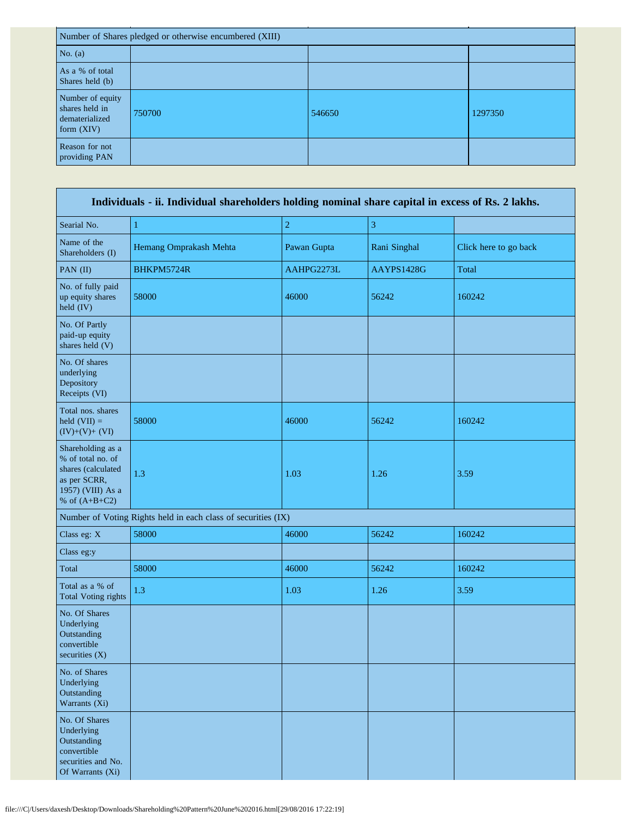| Number of Shares pledged or otherwise encumbered (XIII)              |        |        |         |  |
|----------------------------------------------------------------------|--------|--------|---------|--|
| No. $(a)$                                                            |        |        |         |  |
| As a % of total<br>Shares held (b)                                   |        |        |         |  |
| Number of equity<br>shares held in<br>dematerialized<br>form $(XIV)$ | 750700 | 546650 | 1297350 |  |
| Reason for not<br>providing PAN                                      |        |        |         |  |

| Individuals - ii. Individual shareholders holding nominal share capital in excess of Rs. 2 lakhs.                    |                                                               |                |              |                       |  |
|----------------------------------------------------------------------------------------------------------------------|---------------------------------------------------------------|----------------|--------------|-----------------------|--|
| Searial No.                                                                                                          | $\mathbf{1}$                                                  | $\overline{2}$ | 3            |                       |  |
| Name of the<br>Shareholders (I)                                                                                      | Hemang Omprakash Mehta                                        | Pawan Gupta    | Rani Singhal | Click here to go back |  |
| PAN (II)                                                                                                             | BHKPM5724R                                                    | AAHPG2273L     | AAYPS1428G   | Total                 |  |
| No. of fully paid<br>up equity shares<br>held $(IV)$                                                                 | 58000                                                         | 46000          | 56242        | 160242                |  |
| No. Of Partly<br>paid-up equity<br>shares held (V)                                                                   |                                                               |                |              |                       |  |
| No. Of shares<br>underlying<br>Depository<br>Receipts (VI)                                                           |                                                               |                |              |                       |  |
| Total nos. shares<br>held $(VII) =$<br>$(IV)+(V)+(VI)$                                                               | 58000                                                         | 46000          | 56242        | 160242                |  |
| Shareholding as a<br>% of total no. of<br>shares (calculated<br>as per SCRR,<br>1957) (VIII) As a<br>% of $(A+B+C2)$ | 1.3                                                           |                | 1.26         | 3.59                  |  |
|                                                                                                                      | Number of Voting Rights held in each class of securities (IX) |                |              |                       |  |
| Class eg: X                                                                                                          | 58000                                                         | 46000          | 56242        | 160242                |  |
| Class eg:y                                                                                                           |                                                               |                |              |                       |  |
| Total                                                                                                                | 58000                                                         | 46000          | 56242        | 160242                |  |
| Total as a % of<br><b>Total Voting rights</b>                                                                        | 1.3                                                           | 1.03           | 1.26         | 3.59                  |  |
| No. Of Shares<br>Underlying<br>Outstanding<br>convertible<br>securities (X)                                          |                                                               |                |              |                       |  |
| No. of Shares<br>Underlying<br>Outstanding<br>Warrants (Xi)                                                          |                                                               |                |              |                       |  |
| No. Of Shares<br>Underlying<br>Outstanding<br>convertible<br>securities and No.<br>Of Warrants (Xi)                  |                                                               |                |              |                       |  |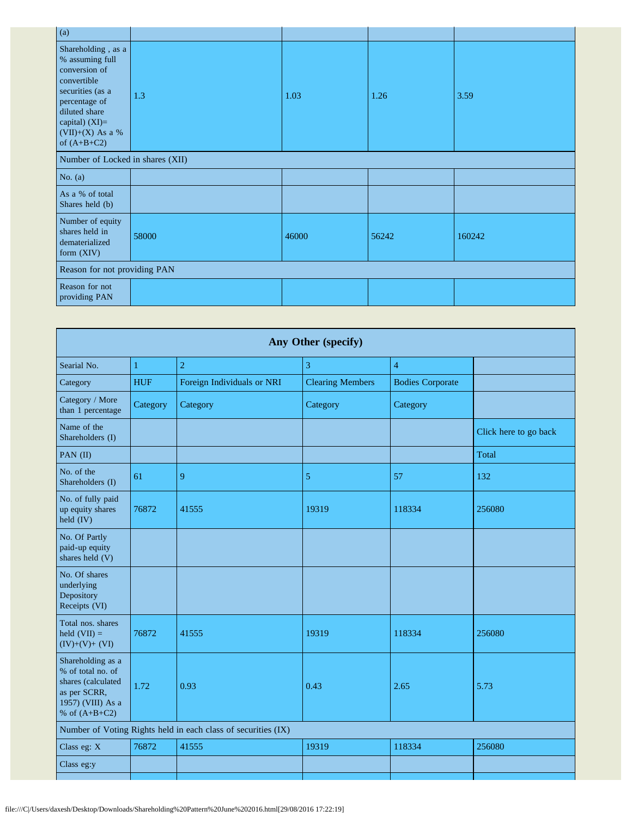| $\overline{a}$                                                                                                                                                                       |       |       |       |        |  |
|--------------------------------------------------------------------------------------------------------------------------------------------------------------------------------------|-------|-------|-------|--------|--|
| Shareholding, as a<br>% assuming full<br>conversion of<br>convertible<br>securities (as a<br>percentage of<br>diluted share<br>capital) $(XI)=$<br>(VII)+(X) As a %<br>of $(A+B+C2)$ | 1.3   | 1.03  | 1.26  | 3.59   |  |
| Number of Locked in shares (XII)                                                                                                                                                     |       |       |       |        |  |
| No. $(a)$                                                                                                                                                                            |       |       |       |        |  |
| As a % of total<br>Shares held (b)                                                                                                                                                   |       |       |       |        |  |
| Number of equity<br>shares held in<br>dematerialized<br>form (XIV)                                                                                                                   | 58000 | 46000 | 56242 | 160242 |  |
| Reason for not providing PAN                                                                                                                                                         |       |       |       |        |  |
| Reason for not<br>providing PAN                                                                                                                                                      |       |       |       |        |  |

| Any Other (specify)                                           |                            |                         |                         |                       |  |
|---------------------------------------------------------------|----------------------------|-------------------------|-------------------------|-----------------------|--|
| $\mathbf{1}$                                                  | $\overline{2}$             | 3                       | $\overline{4}$          |                       |  |
| <b>HUF</b>                                                    | Foreign Individuals or NRI | <b>Clearing Members</b> | <b>Bodies Corporate</b> |                       |  |
| Category                                                      | Category                   | Category                | Category                |                       |  |
|                                                               |                            |                         |                         | Click here to go back |  |
|                                                               |                            |                         |                         | Total                 |  |
| 61                                                            | 9                          | 5                       | 57                      | 132                   |  |
| 76872                                                         | 41555                      | 19319                   | 118334                  | 256080                |  |
|                                                               |                            |                         |                         |                       |  |
|                                                               |                            |                         |                         |                       |  |
| 76872                                                         | 41555                      | 19319                   | 118334                  | 256080                |  |
| 1.72                                                          | 0.93                       | 0.43                    | 2.65                    | 5.73                  |  |
| Number of Voting Rights held in each class of securities (IX) |                            |                         |                         |                       |  |
| 76872                                                         | 41555                      | 19319                   | 118334                  | 256080                |  |
|                                                               |                            |                         |                         |                       |  |
|                                                               |                            |                         |                         |                       |  |